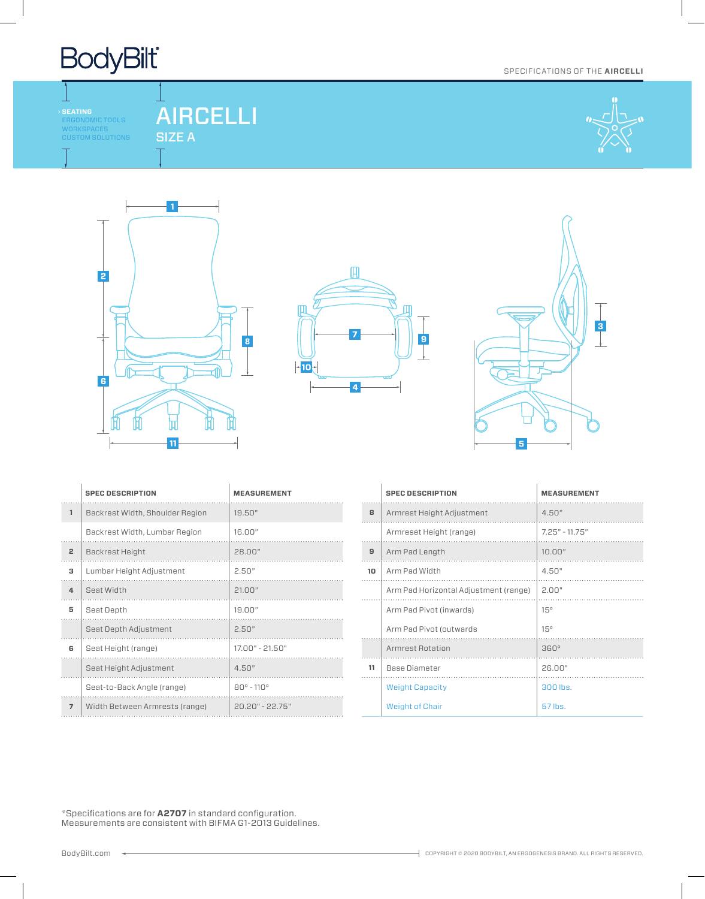

ERGONOMIC TOOLS WORKSPACES CUSTOM SOLUTIONS

┹

### AIRCELLI SIZE A



SPECIFICATIONS OF THE **AIRCELLI**







|                | <b>SPEC DESCRIPTION</b>         | <b>MEASUREMENT</b>         |
|----------------|---------------------------------|----------------------------|
| $\mathbf{1}$   | Backrest Width, Shoulder Region | 19.50"                     |
|                | Backrest Width, Lumbar Region   | 16.00"                     |
| 2              | Backrest Height                 | 28.00"                     |
| з              | Lumbar Height Adjustment        | 2.50"                      |
| 4              | Seat Width                      | 21.00"                     |
| 5              | Seat Depth                      | 19.00"                     |
|                | Seat Depth Adjustment           | 2.50"                      |
| 6              | Seat Height (range)             | $17.00" - 21.50"$          |
|                | Seat Height Adjustment          | 4.50"                      |
|                | Seat-to-Back Angle (range)      | $80^{\circ} - 110^{\circ}$ |
| $\overline{7}$ | Width Between Armrests (range)  | $20.20" - 22.75"$          |

|    | <b>SPEC DESCRIPTION</b>               | <b>MEASUREMENT</b> |
|----|---------------------------------------|--------------------|
| 8  | Armrest Height Adjustment             | 4.50"              |
|    | Armreset Height (range)               | $7.25" - 11.75"$   |
| 9  | Arm Pad Length                        | 10.00"             |
| 10 | Arm Pad Width                         | 4.50"              |
|    | Arm Pad Horizontal Adjustment (range) | 2.00"              |
|    | Arm Pad Pivot (inwards)               | 15°                |
|    | Arm Pad Pivot (outwards)              | 15°                |
|    | Armrest Rotation                      | $360^\circ$        |
| 11 | <b>Base Diameter</b>                  | 26.00"             |
|    | <b>Weight Capacity</b>                | 300 lbs.           |
|    | <b>Weight of Chair</b>                | 57 lbs.            |

\*Specifications are for **A2707** in standard configuration. Measurements are consistent with BIFMA G1-2013 Guidelines.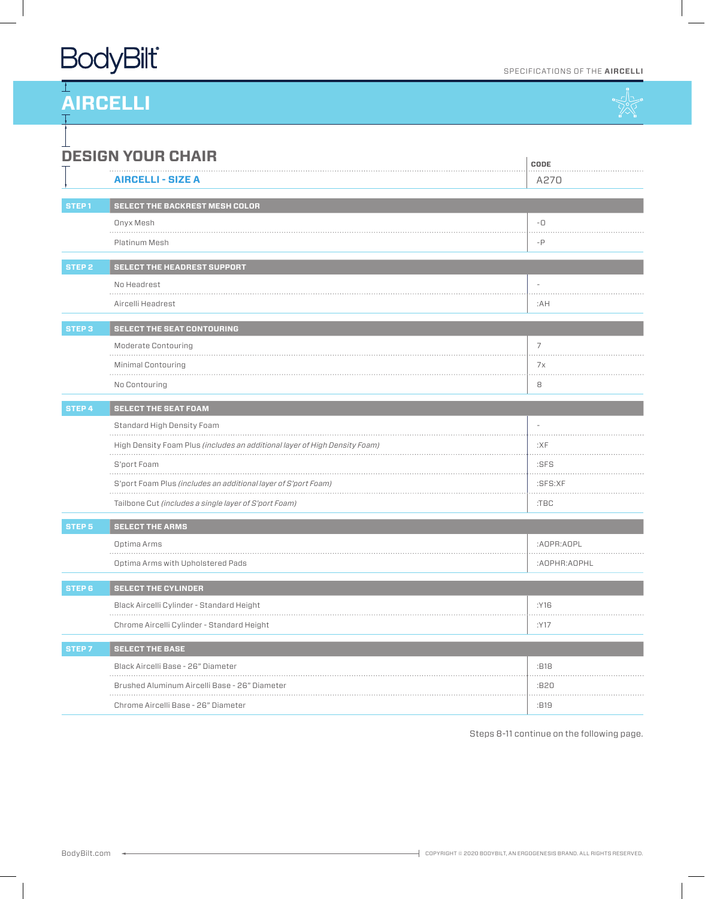# **BodyBilt**

### SPECIFICATIONS OF THE **AIRCELLI**



| <b>DESIGN YOUR CHAIR</b><br>CODE |                                                                            |              |  |
|----------------------------------|----------------------------------------------------------------------------|--------------|--|
|                                  | <b>AIRCELLI - SIZE A</b>                                                   | A270         |  |
| STEP <sub>1</sub>                | SELECT THE BACKREST MESH COLOR                                             |              |  |
|                                  | Onyx Mesh                                                                  | $-\Box$      |  |
|                                  | .<br>Platinum Mesh                                                         | $-P$         |  |
|                                  |                                                                            |              |  |
| STEP <sub>2</sub>                | SELECT THE HEADREST SUPPORT<br>No Headrest                                 |              |  |
|                                  | .<br>Aircelli Headrest                                                     | :AH          |  |
| <b>STEP 3</b>                    | <b>SELECT THE SEAT CONTOURING</b>                                          |              |  |
|                                  | Moderate Contouring                                                        | 7            |  |
|                                  | Minimal Contouring                                                         | 7x           |  |
|                                  | No Contouring                                                              | 8            |  |
| STEP 4                           | <b>SELECT THE SEAT FOAM</b>                                                |              |  |
|                                  | Standard High Density Foam                                                 |              |  |
|                                  | High Density Foam Plus (includes an additional layer of High Density Foam) | :XF          |  |
|                                  | S'port Foam                                                                | :SFS         |  |
|                                  | S'port Foam Plus (includes an additional layer of S'port Foam)             | :SFS:XF      |  |
|                                  | Tailbone Cut (includes a single layer of S'port Foam)                      | $:$ TBC      |  |
| <b>STEP 5</b>                    | <b>SELECT THE ARMS</b>                                                     |              |  |
|                                  | Optima Arms                                                                | :AOPR:AOPL   |  |
|                                  | Optima Arms with Upholstered Pads                                          | :AOPHR:AOPHL |  |
| STEP <sub>6</sub>                | <b>SELECT THE CYLINDER</b>                                                 |              |  |
|                                  | Black Aircelli Cylinder - Standard Height                                  | :Y16         |  |
|                                  | Chrome Aircelli Cylinder - Standard Height                                 | :Y17         |  |
| <b>STEP7</b>                     | <b>SELECT THE BASE</b>                                                     |              |  |
|                                  | Black Aircelli Base - 26" Diameter                                         | :B18         |  |
|                                  | Brushed Aluminum Aircelli Base - 26" Diameter                              | :B20         |  |
|                                  | Chrome Aircelli Base - 26" Diameter                                        | :B19         |  |

Steps 8-11 continue on the following page.